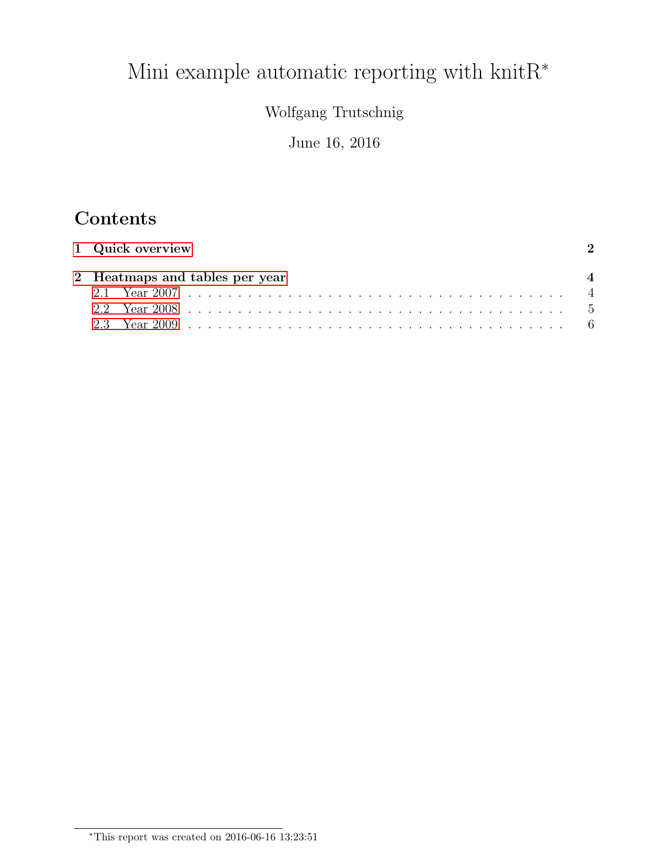# Mini example automatic reporting with  $\text{knitR}^*$

# Wolfgang Trutschnig

### June 16, 2016

# Contents

| 1 Quick overview |                                |  |  |  |
|------------------|--------------------------------|--|--|--|
|                  | 2 Heatmaps and tables per year |  |  |  |
|                  |                                |  |  |  |
|                  |                                |  |  |  |
|                  |                                |  |  |  |

<sup>∗</sup>This report was created on 2016-06-16 13:23:51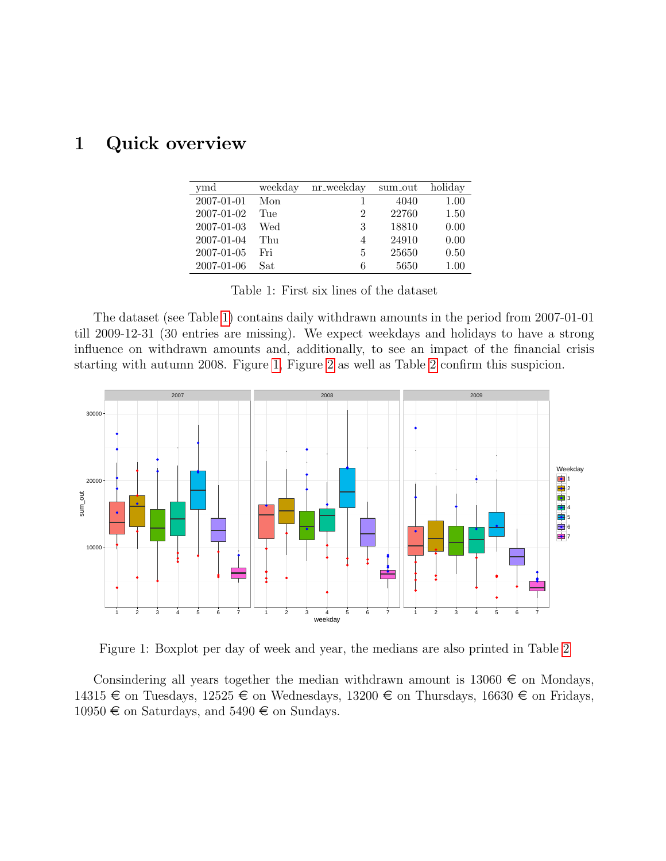## <span id="page-1-0"></span>1 Quick overview

| ymd        | weekday | nr_weekday | sum_out | holiday |
|------------|---------|------------|---------|---------|
| 2007-01-01 | Mon     |            | 4040    | 1.00    |
| 2007-01-02 | Tue     | 2          | 22760   | 1.50    |
| 2007-01-03 | Wed     | 3          | 18810   | 0.00    |
| 2007-01-04 | Thu     | 4          | 24910   | 0.00    |
| 2007-01-05 | Fri     | 5          | 25650   | 0.50    |
| 2007-01-06 | Sat     | 6          | 5650    | 1.00    |

<span id="page-1-1"></span>Table 1: First six lines of the dataset

The dataset (see Table [1\)](#page-1-1) contains daily withdrawn amounts in the period from 2007-01-01 till 2009-12-31 (30 entries are missing). We expect weekdays and holidays to have a strong influence on withdrawn amounts and, additionally, to see an impact of the financial crisis starting with autumn 2008. Figure [1,](#page-1-2) Figure [2](#page-2-0) as well as Table [2](#page-2-1) confirm this suspicion.



<span id="page-1-2"></span>Figure 1: Boxplot per day of week and year, the medians are also printed in Table [2](#page-2-1)

Consindering all years together the median withdrawn amount is  $13060 \in \mathfrak{m}$  Mondays, 14315  $\in$  on Tuesdays, 12525  $\in$  on Wednesdays, 13200  $\in$  on Thursdays, 16630  $\in$  on Fridays, 10950  $\in$  on Saturdays, and 5490  $\in$  on Sundays.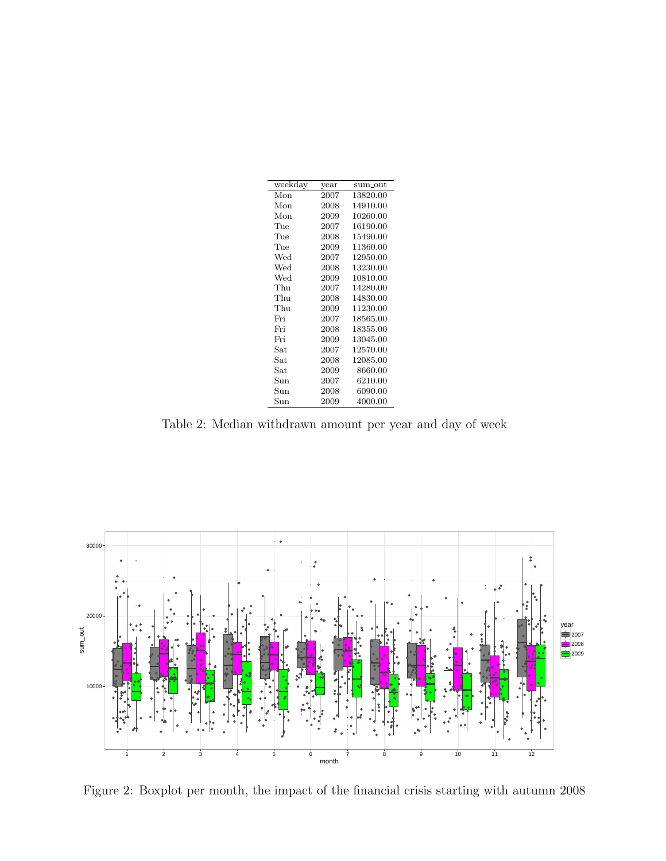<span id="page-2-1"></span>

| weekday      | year | $sum\_out$ |
|--------------|------|------------|
| Mon          | 2007 | 13820.00   |
| Mon          | 2008 | 14910.00   |
| Mon          | 2009 | 10260.00   |
| Tue          | 2007 | 16190.00   |
| Tue          | 2008 | 15490.00   |
| Tue          | 2009 | 11360.00   |
| Wed          | 2007 | 12950.00   |
| Wed          | 2008 | 13230.00   |
| Wed          | 2009 | 10810.00   |
| Thu          | 2007 | 14280.00   |
| Thu          | 2008 | 14830.00   |
| Thu          | 2009 | 11230.00   |
| Fri          | 2007 | 18565.00   |
| Fri          | 2008 | 18355.00   |
| Fri          | 2009 | 13045.00   |
| Sat          | 2007 | 12570.00   |
| Sat          | 2008 | 12085.00   |
| $_{\rm Sat}$ | 2009 | 8660.00    |
| Sun          | 2007 | 6210.00    |
| $_{\rm Sun}$ | 2008 | 6090.00    |
| Sun          | 2009 | 4000.00    |

Table 2: Median withdrawn amount per year and day of week



<span id="page-2-0"></span>Figure 2: Boxplot per month, the impact of the financial crisis starting with autumn 2008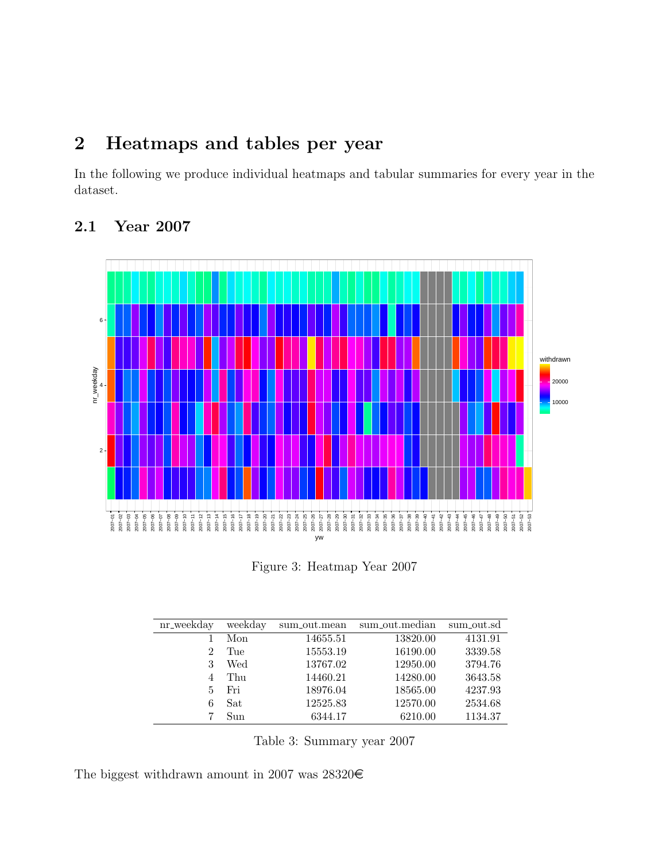## <span id="page-3-0"></span>2 Heatmaps and tables per year

In the following we produce individual heatmaps and tabular summaries for every year in the dataset.



#### <span id="page-3-1"></span>2.1 Year 2007

Figure 3: Heatmap Year 2007

| nr_weekday     | weekday | sum_out.mean | sum_out.median | sum_out.sd |
|----------------|---------|--------------|----------------|------------|
|                | Mon     | 14655.51     | 13820.00       | 4131.91    |
| $\overline{2}$ | Tue     | 15553.19     | 16190.00       | 3339.58    |
| 3              | Wed     | 13767.02     | 12950.00       | 3794.76    |
| 4              | Thu     | 14460.21     | 14280.00       | 3643.58    |
| 5.             | Fri     | 18976.04     | 18565.00       | 4237.93    |
| 6              | Sat     | 12525.83     | 12570.00       | 2534.68    |
|                | Sun     | 6344.17      | 6210.00        | 1134.37    |

Table 3: Summary year 2007

The biggest withdrawn amount in 2007 was 28320 $\in$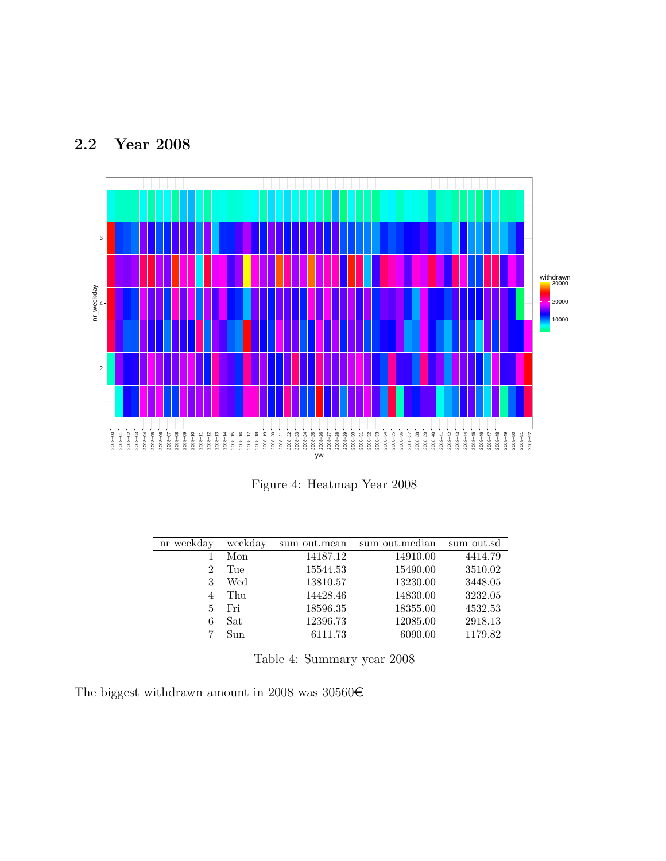#### <span id="page-4-0"></span>2.2 Year 2008



Figure 4: Heatmap Year 2008

| nr_weekday | weekday | sum_out.mean | sum_out.median | sum_out.sd |
|------------|---------|--------------|----------------|------------|
|            | Mon     | 14187.12     | 14910.00       | 4414.79    |
| 2          | Tue     | 15544.53     | 15490.00       | 3510.02    |
| 3          | Wed     | 13810.57     | 13230.00       | 3448.05    |
|            | Thu     | 14428.46     | 14830.00       | 3232.05    |
| 5          | Fri     | 18596.35     | 18355.00       | 4532.53    |
| 6          | Sat     | 12396.73     | 12085.00       | 2918.13    |
|            | Sun     | 6111.73      | 6090.00        | 1179.82    |

Table 4: Summary year 2008

The biggest withdrawn amount in 2008 was  $30560\textnormal{\textbf{\textrm{C}}}$